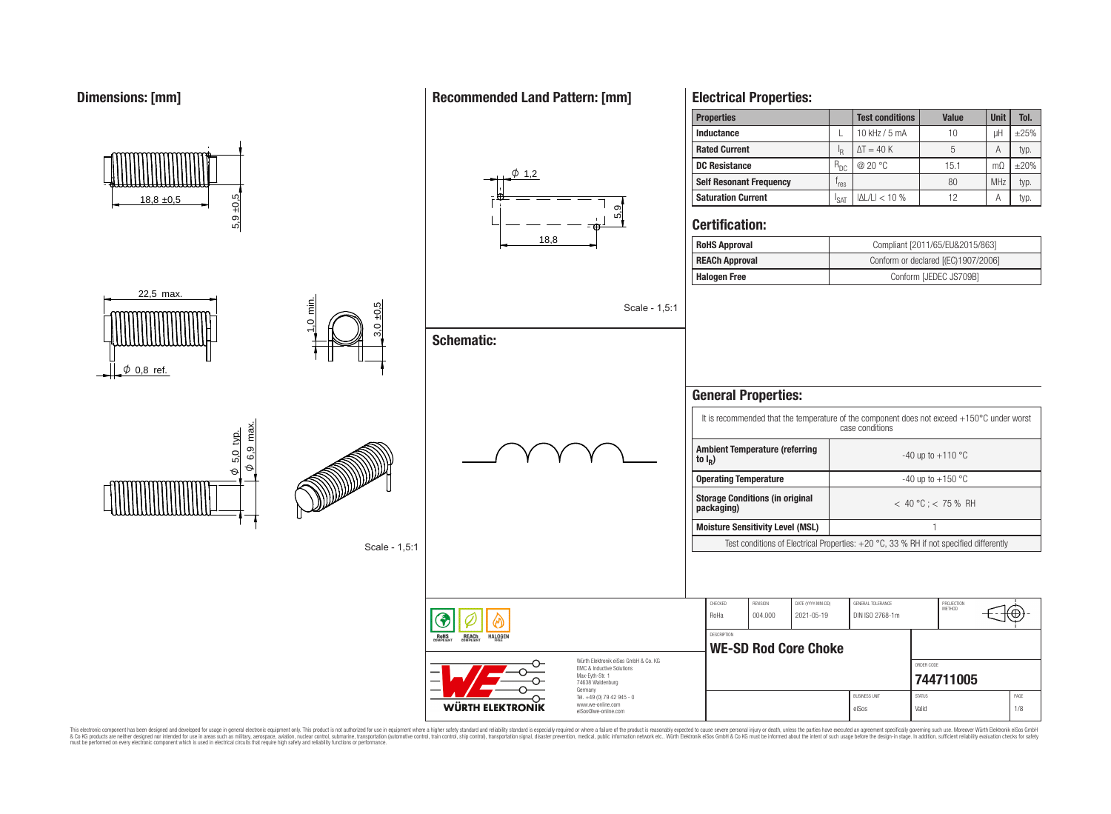**Dimensions: [mm]**

#### **Properties Test conditions Value Unit Tol. Inductance**  $\left| \begin{array}{ccc} \text{L} & 10 \text{ kHz} / 5 \text{ mA} & 10 \end{array} \right|$  uH  $\left| \begin{array}{ccc} \pm 25\% & -10 \end{array} \right|$ **Rated Current** I I<sub>R</sub>  $\Delta T = 40 \text{ K}$   $\phantom{00}$  5 A typ. **DC Resistance** R<sub>DC</sub> | @ 20 °C 15.1 mΩ +±20%  $\phi$  1,2 **Self Resonant Frequency** | f<sub>res</sub>  $r_{res}$  80 MHz typ. 5,9 ±0,5  $|\Delta L/L| < 10\%$  | 12 | A typ. **Saturation Current**  $\left| \right|_{\text{SAT}}$  $18.8 \pm 0.5$ 5,9<br>5, **Certification:** 18,8 **RoHS Approval Compliant [2011/65/EU&2015/863] REACh Approval** Conform or declared [(EC)1907/2006] **Halogen Free Conform [JEDEC JS709B]** 22,5 max.  $\frac{1}{2}$ 3,0 ±0,5 Scale - 1,5:1 **Schematic:**  $\phi$  0,8 ref. **General Properties:** It is recommended that the temperature of the component does not exceed +150°C under worst case conditions  $\varphi$  6,9 max.  $\frac{\phi}{\phi}$  5.0 typ. **Ambient Temperature (referring** <u>တု</u><br>ဖါ  $-40$  up to  $+110$  °C <u>ទា</u><br>ស **to I<sup>R</sup> )**  $\phi$ **Operating Temperature discriming Temperature**  $-40 \text{ up to } +150 \text{ °C}$ **Storage Conditions (in original packaging)** < 40 °C ; < 75 % RH **Moisture Sensitivity Level (MSL)** 1 Test conditions of Electrical Properties: +20 °C, 33 % RH if not specified differently Scale - 1,5:1 CHECKED REVISION DATE (YYYY-MM-DD) GENERAL TOLERANCE PROJECTION<br>METHOD Έ RoHa 004.000 2021-05-19 DIN ISO 2768-1m **DESCRIPTION** RoHS **REACh** HALOGEI **WE-SD Rod Core Choke** Würth Elektronik eiSos GmbH & Co. KG ORDER CODE EMC & Inductive Solutions Max-Eyth-Str. 1 **[744711005](https://www.we-online.com/catalog/en/article/744711005)** 74638 Waldenburg Germany Tel. +49 (0) 79 42 945 - 0 BUSINESS UNIT PAGE www.we-online.com **WÜRTH ELEKTRONIK**

This electronic component has been designed and developed for usage in general electronic equipment only. This product is not authorized for use in equipment where a higher safely standard and reliability standard si espec & Ook product a label and the membed of the seasuch as marked and as which such a membed and the such assume that income in the seasuch and the simulation and the such assume that include to the such a membed and the such

eiSos@we-online.com

### **Recommended Land Pattern: [mm]**

**Electrical Properties:**

eiSos Valid 1/8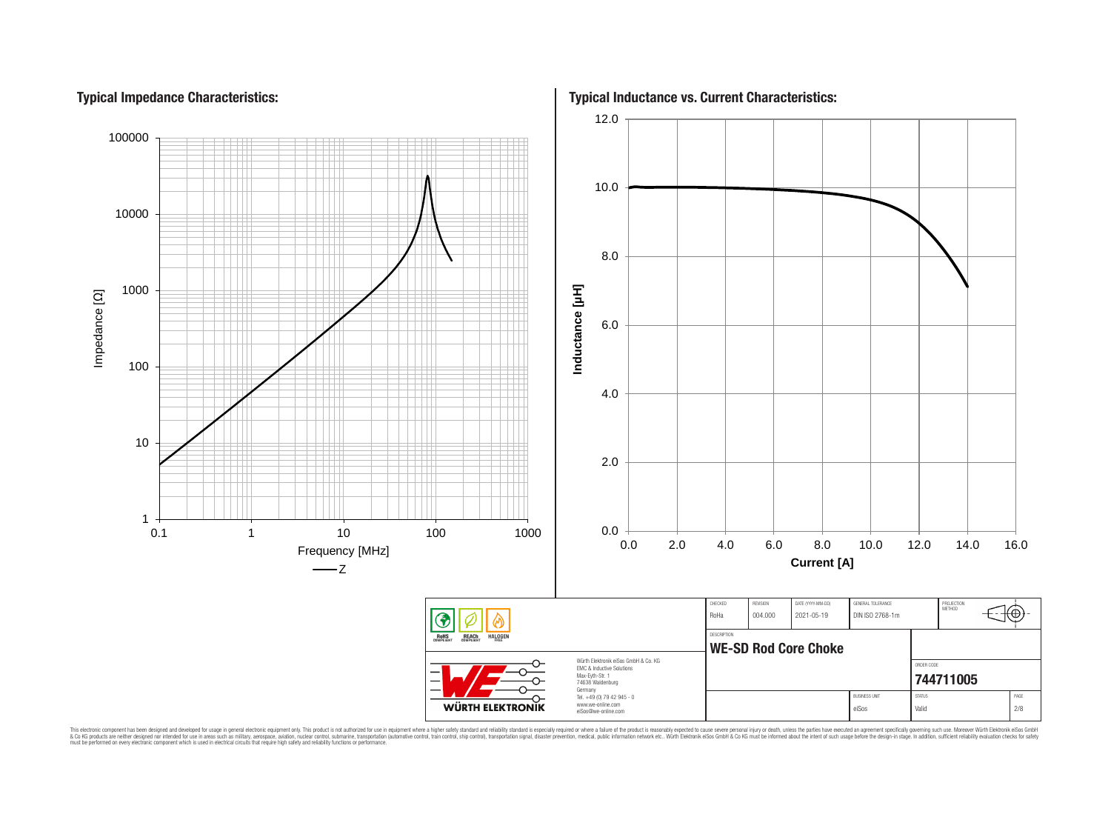# **Typical Impedance Characteristics:**



This electronic component has been designed and developed for usage in general electronic equipment only. This product is not authorized for use in equipment where a higher safely standard and reliability standard si espec & Ook product a label and the membed of the seasuch as marked and as which such a membed and the such assume that income in the seasuch and the simulation and the such assume that include to the such a membed and the such

**Typical Inductance vs. Current Characteristics:**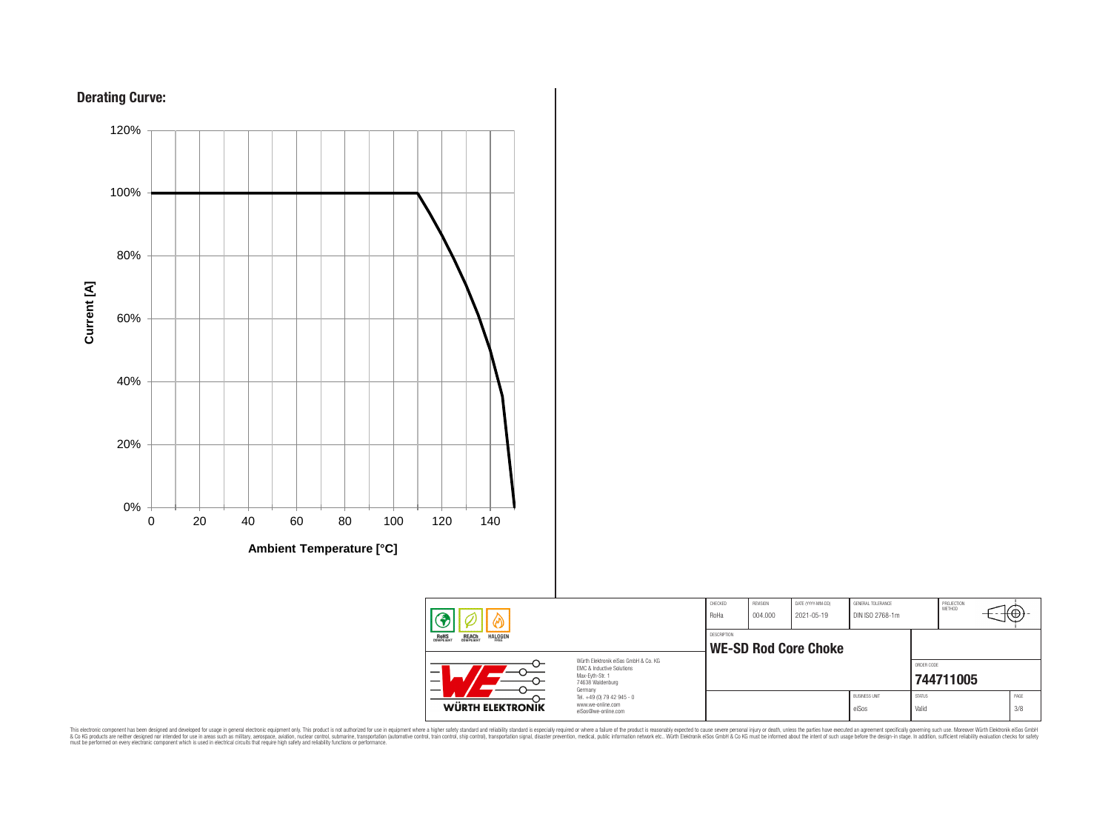



**Ambient Temperature [°C]**



This electronic component has been designed and developed for usage in general electronic equipment only. This product is not authorized for subserved requipment where a higher selection equipment where a higher selection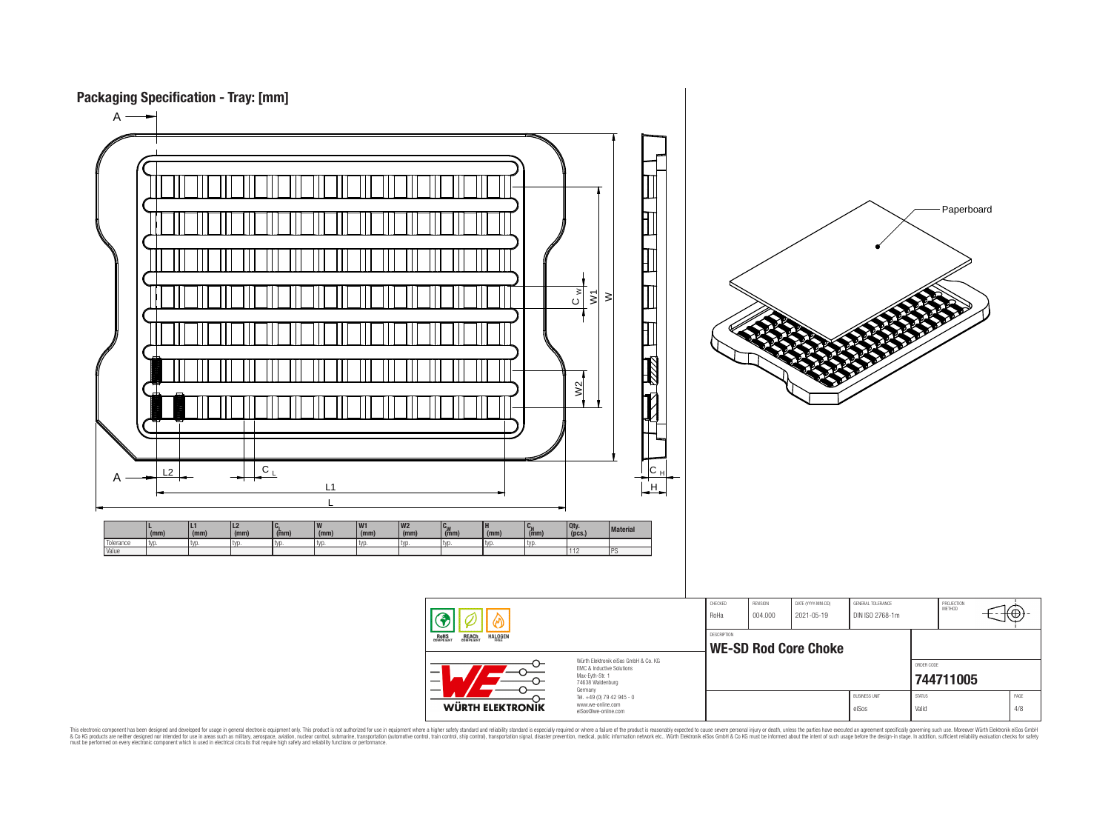

This electronic component has been designed and developed for usage in general electronic equipment only. This product is not authorized for subserved requipment where a higher selection equipment where a higher selection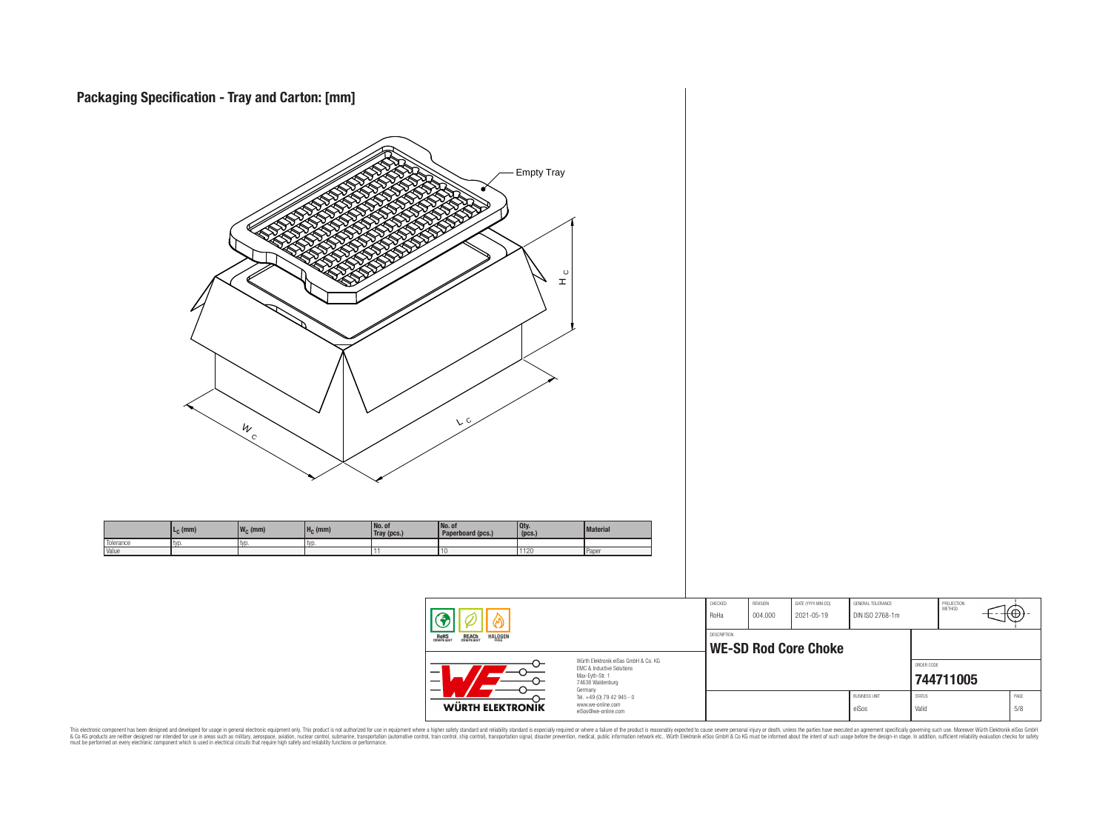

This electronic component has been designed and developed for usage in general electronic equipment only. This product is not authorized for subserved requipment where a higher selection equipment where a higher selection

⊕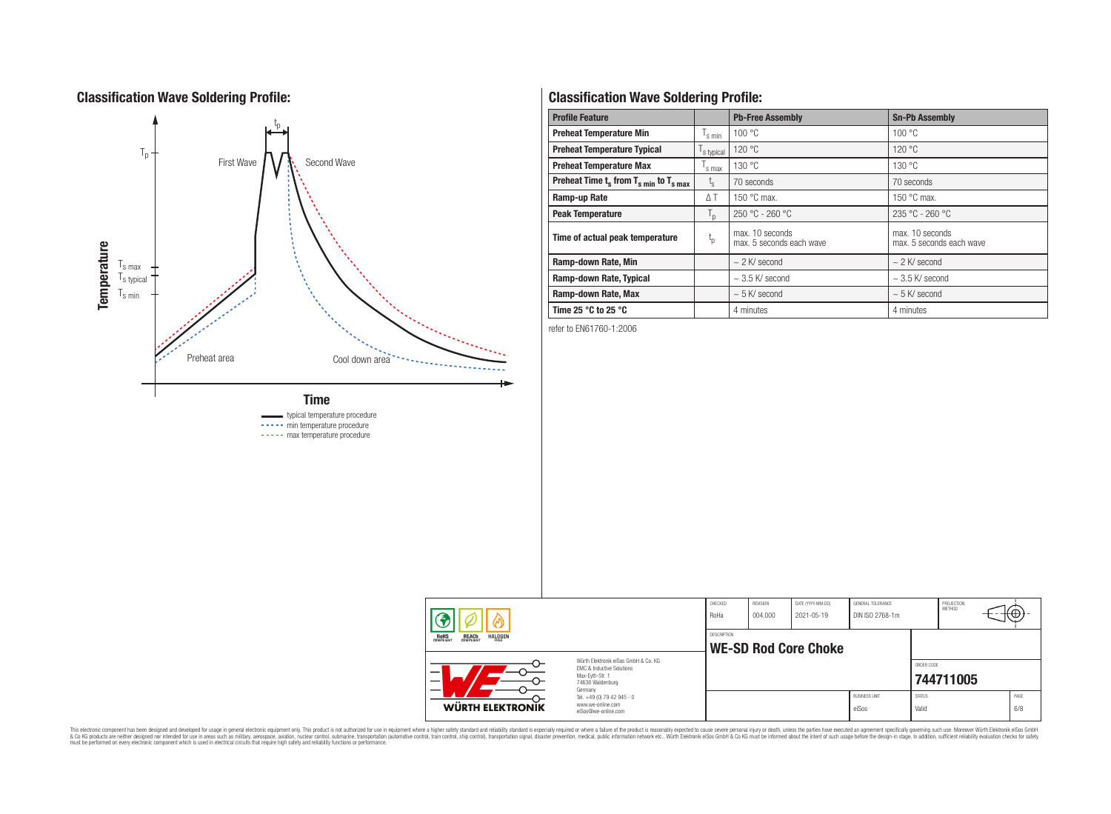### **Classification Wave Soldering Profile:**



----- min temperature procedure ----- max temperature procedure

# **Classification Wave Soldering Profile:**

| <b>Profile Feature</b>                                               |                               | <b>Pb-Free Assembly</b>                     | <b>Sn-Pb Assembly</b>                       |  |  |  |
|----------------------------------------------------------------------|-------------------------------|---------------------------------------------|---------------------------------------------|--|--|--|
| <b>Preheat Temperature Min</b>                                       | $\mathsf{I}_{\mathsf{S}}$ min | 100 °C                                      | 100 °C                                      |  |  |  |
| <b>Preheat Temperature Typical</b><br>s typical                      |                               | 120 °C                                      | 120 °C                                      |  |  |  |
| <b>Preheat Temperature Max</b>                                       | s max                         | 130 °C                                      | 130 °C                                      |  |  |  |
| Preheat Time $t_s$ from $T_s$ <sub>min</sub> to $T_s$ <sub>max</sub> | $t_{\rm s}$                   | 70 seconds                                  | 70 seconds                                  |  |  |  |
| Ramp-up Rate                                                         | $\Delta T$                    | 150 $\degree$ C max.                        | 150 $\degree$ C max.                        |  |  |  |
| <b>Peak Temperature</b>                                              | $T_{\mathsf{D}}$              | $250 °C - 260 °C$                           | $235 °C - 260 °C$                           |  |  |  |
| Time of actual peak temperature                                      | $t_{p}$                       | max. 10 seconds<br>max. 5 seconds each wave | max. 10 seconds<br>max. 5 seconds each wave |  |  |  |
| Ramp-down Rate, Min                                                  |                               | $\sim$ 2 K/ second                          | $\sim$ 2 K/ second                          |  |  |  |
| Ramp-down Rate, Typical                                              |                               | $\sim$ 3.5 K/ second                        | $\sim$ 3.5 K/ second                        |  |  |  |
| Ramp-down Rate, Max                                                  |                               | $\sim$ 5 K/ second                          | $\sim$ 5 K/ second                          |  |  |  |
| Time 25 $^{\circ}$ C to 25 $^{\circ}$ C                              |                               | 4 minutes                                   | 4 minutes                                   |  |  |  |

refer to EN61760-1:2006



This electronic component has been designed and developed for usage in general electronic equipment only. This product is not authorized for subserved requipment where a higher selection equipment where a higher selection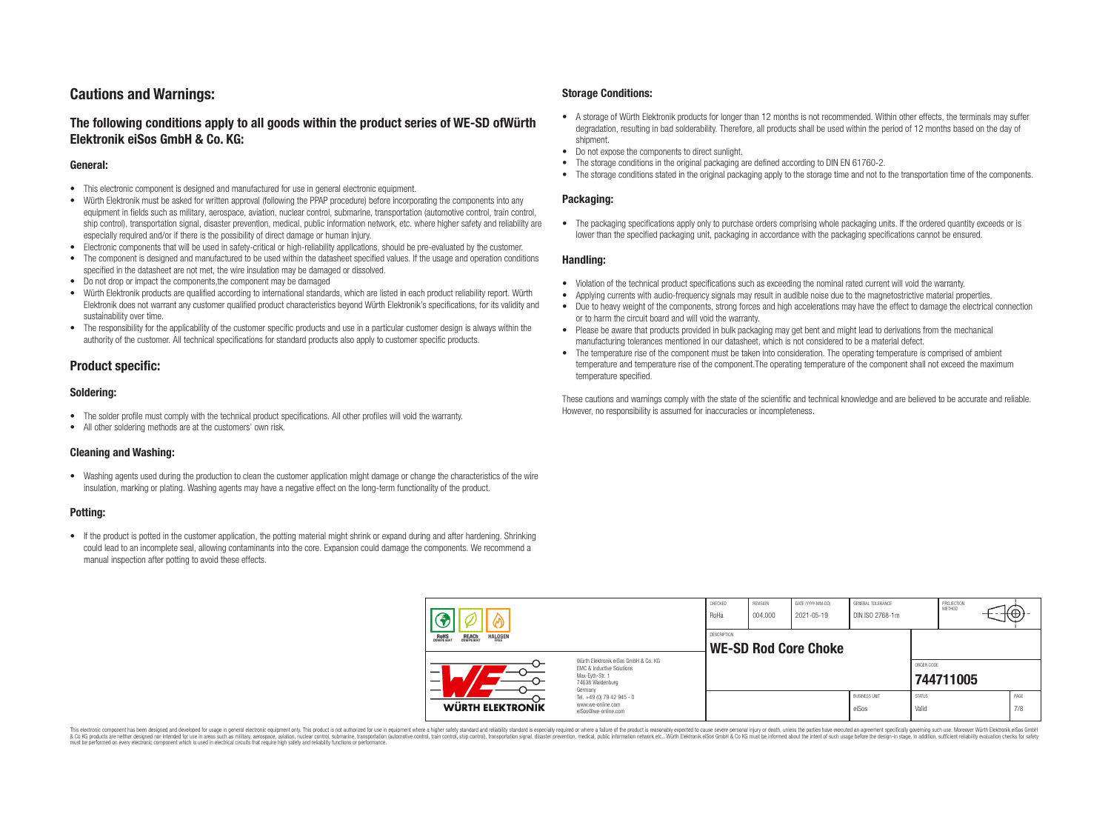# **Cautions and Warnings:**

### **The following conditions apply to all goods within the product series of WE-SD ofWürth Elektronik eiSos GmbH & Co. KG:**

#### **General:**

- This electronic component is designed and manufactured for use in general electronic equipment.
- Würth Elektronik must be asked for written approval (following the PPAP procedure) before incorporating the components into any equipment in fields such as military, aerospace, aviation, nuclear control, submarine, transportation (automotive control, train control, ship control), transportation signal, disaster prevention, medical, public information network, etc. where higher safety and reliability are especially required and/or if there is the possibility of direct damage or human injury.
- Electronic components that will be used in safety-critical or high-reliability applications, should be pre-evaluated by the customer.
- The component is designed and manufactured to be used within the datasheet specified values. If the usage and operation conditions specified in the datasheet are not met, the wire insulation may be damaged or dissolved.
- Do not drop or impact the components,the component may be damaged
- Würth Elektronik products are qualified according to international standards, which are listed in each product reliability report. Würth Elektronik does not warrant any customer qualified product characteristics beyond Würth Elektronik's specifications, for its validity and sustainability over time.
- The responsibility for the applicability of the customer specific products and use in a particular customer design is always within the authority of the customer. All technical specifications for standard products also apply to customer specific products.

### **Product specific:**

#### **Soldering:**

- The solder profile must comply with the technical product specifications. All other profiles will void the warranty.
- All other soldering methods are at the customers' own risk.

#### **Cleaning and Washing:**

• Washing agents used during the production to clean the customer application might damage or change the characteristics of the wire insulation, marking or plating. Washing agents may have a negative effect on the long-term functionality of the product.

#### **Potting:**

• If the product is potted in the customer application, the potting material might shrink or expand during and after hardening. Shrinking could lead to an incomplete seal, allowing contaminants into the core. Expansion could damage the components. We recommend a manual inspection after potting to avoid these effects.

#### **Storage Conditions:**

- A storage of Würth Elektronik products for longer than 12 months is not recommended. Within other effects, the terminals may suffer degradation, resulting in bad solderability. Therefore, all products shall be used within the period of 12 months based on the day of shipment.
- Do not expose the components to direct sunlight.<br>• The storage conditions in the original packaging
- The storage conditions in the original packaging are defined according to DIN EN 61760-2.
- The storage conditions stated in the original packaging apply to the storage time and not to the transportation time of the components.

#### **Packaging:**

• The packaging specifications apply only to purchase orders comprising whole packaging units. If the ordered quantity exceeds or is lower than the specified packaging unit, packaging in accordance with the packaging specifications cannot be ensured.

#### **Handling:**

- Violation of the technical product specifications such as exceeding the nominal rated current will void the warranty.
- Applying currents with audio-frequency signals may result in audible noise due to the magnetostrictive material properties.
- Due to heavy weight of the components, strong forces and high accelerations may have the effect to damage the electrical connection or to harm the circuit board and will void the warranty.
- Please be aware that products provided in bulk packaging may get bent and might lead to derivations from the mechanical manufacturing tolerances mentioned in our datasheet, which is not considered to be a material defect.
- The temperature rise of the component must be taken into consideration. The operating temperature is comprised of ambient temperature and temperature rise of the component.The operating temperature of the component shall not exceed the maximum temperature specified.

These cautions and warnings comply with the state of the scientific and technical knowledge and are believed to be accurate and reliable. However, no responsibility is assumed for inaccuracies or incompleteness.

| <b>ROHS</b><br>COMPLIANT<br><b>REACH</b><br>COMPLIANT<br><b>HALOGEN</b><br>FRFF<br>Würth Elektronik eiSos GmbH & Co. KG<br>EMC & Inductive Solutions<br>– |                                                                                                                          | DESCRIPTION | <b>WE-SD Rod Core Choke</b> |  |                               |                        | ORDER CODE |             |  |
|-----------------------------------------------------------------------------------------------------------------------------------------------------------|--------------------------------------------------------------------------------------------------------------------------|-------------|-----------------------------|--|-------------------------------|------------------------|------------|-------------|--|
| WÜRTH ELEKTRONIK                                                                                                                                          | Max-Eyth-Str. 1<br>74638 Waldenburg<br>Germany<br>Tel. +49 (0) 79 42 945 - 0<br>www.we-online.com<br>eiSos@we-online.com |             |                             |  | <b>BUSINESS UNIT</b><br>eiSos | <b>STATUS</b><br>Valid | 744711005  | PAGE<br>7/8 |  |

This electronic component has been designed and developed for usage in general electronic equipment only. This product is not authorized for use in equipment where a higher safety standard and reliability standard si espec & Ook product a label and the membed of the seasuch as marked and as which such a membed and the such assume that income in the seasuch and the simulation and the such assume that include to the such a membed and the such